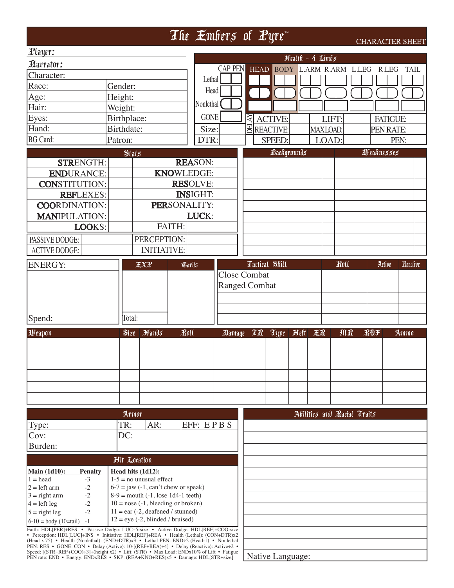|                                                                                                                                                                                                                                                                                       |              |                                                                                                |                   |                 |                     |            | The Embers of Pyre                 |                               |                   |      |            | <b>CHARACTER SHEET</b> |          |
|---------------------------------------------------------------------------------------------------------------------------------------------------------------------------------------------------------------------------------------------------------------------------------------|--------------|------------------------------------------------------------------------------------------------|-------------------|-----------------|---------------------|------------|------------------------------------|-------------------------------|-------------------|------|------------|------------------------|----------|
| $\mathbb{P}$ layer:                                                                                                                                                                                                                                                                   |              |                                                                                                |                   |                 |                     |            |                                    |                               |                   |      |            |                        |          |
| <b><i>Aarrator:</i></b>                                                                                                                                                                                                                                                               |              |                                                                                                |                   |                 |                     |            |                                    | Health - 4 Limbs              |                   |      |            |                        |          |
| Character:                                                                                                                                                                                                                                                                            |              |                                                                                                |                   |                 | <b>CAP PEN</b>      |            | <b>HEAD</b>                        | <b>BODY L.ARM R.ARM L.LEG</b> |                   |      |            | R.LEG                  | TAIL     |
| Race:                                                                                                                                                                                                                                                                                 | Gender:      |                                                                                                |                   | Lethal          |                     |            |                                    |                               |                   |      |            |                        |          |
| Age:                                                                                                                                                                                                                                                                                  | Height:      |                                                                                                |                   | Head            |                     |            |                                    |                               |                   |      |            |                        |          |
| Hair:                                                                                                                                                                                                                                                                                 | Weight:      |                                                                                                |                   | Nonlethal       |                     |            |                                    |                               |                   |      |            |                        |          |
| Eyes:                                                                                                                                                                                                                                                                                 | Birthplace:  |                                                                                                |                   | <b>GONE</b>     |                     | $_{\rm X}$ |                                    |                               |                   |      |            |                        |          |
| Hand:                                                                                                                                                                                                                                                                                 | Birthdate:   |                                                                                                |                   | Size:           |                     |            | <b>ACTIVE:</b><br>EREACTIVE:       |                               | LIFT:<br>MAXLOAD: |      |            | <b>FATIGUE:</b>        |          |
| <b>BG</b> Card:                                                                                                                                                                                                                                                                       |              |                                                                                                |                   |                 |                     |            |                                    |                               |                   |      |            | PEN RATE:              |          |
|                                                                                                                                                                                                                                                                                       | Patron:      |                                                                                                |                   | DTR:            |                     |            | SPEED:                             |                               | LOAD:             |      |            | PEN:                   |          |
|                                                                                                                                                                                                                                                                                       | $$$ tat $5$  |                                                                                                |                   |                 |                     |            |                                    | Backgrounds                   |                   |      | Weaknesses |                        |          |
| <b>STRENGTH:</b>                                                                                                                                                                                                                                                                      |              |                                                                                                |                   | <b>REASON:</b>  |                     |            |                                    |                               |                   |      |            |                        |          |
| <b>ENDURANCE:</b>                                                                                                                                                                                                                                                                     |              |                                                                                                | <b>KNOWLEDGE:</b> |                 |                     |            |                                    |                               |                   |      |            |                        |          |
| <b>CONSTITUTION:</b>                                                                                                                                                                                                                                                                  |              |                                                                                                |                   | <b>RESOLVE:</b> |                     |            |                                    |                               |                   |      |            |                        |          |
| <b>REFLEXES:</b>                                                                                                                                                                                                                                                                      |              |                                                                                                |                   | <b>INSIGHT:</b> |                     |            |                                    |                               |                   |      |            |                        |          |
| <b>COORDINATION:</b>                                                                                                                                                                                                                                                                  |              |                                                                                                | PERSONALITY:      |                 |                     |            |                                    |                               |                   |      |            |                        |          |
| <b>MANIPULATION:</b>                                                                                                                                                                                                                                                                  |              |                                                                                                |                   | LUCK:           |                     |            |                                    |                               |                   |      |            |                        |          |
| LOOKS:                                                                                                                                                                                                                                                                                |              |                                                                                                | FAITH:            |                 |                     |            |                                    |                               |                   |      |            |                        |          |
| PASSIVE DODGE:                                                                                                                                                                                                                                                                        |              | PERCEPTION:                                                                                    |                   |                 |                     |            |                                    |                               |                   |      |            |                        |          |
| <b>ACTIVE DODGE:</b>                                                                                                                                                                                                                                                                  |              | <b>INITIATIVE:</b>                                                                             |                   |                 |                     |            |                                    |                               |                   |      |            |                        |          |
| <b>ENERGY:</b>                                                                                                                                                                                                                                                                        |              | <b>EXP</b>                                                                                     | <b>Gards</b>      |                 |                     |            | Tactical Skill                     |                               |                   | Roll | Active     |                        | Reactive |
|                                                                                                                                                                                                                                                                                       |              |                                                                                                |                   |                 | <b>Close Combat</b> |            |                                    |                               |                   |      |            |                        |          |
|                                                                                                                                                                                                                                                                                       |              |                                                                                                |                   |                 |                     |            | <b>Ranged Combat</b>               |                               |                   |      |            |                        |          |
|                                                                                                                                                                                                                                                                                       |              |                                                                                                |                   |                 |                     |            |                                    |                               |                   |      |            |                        |          |
|                                                                                                                                                                                                                                                                                       |              |                                                                                                |                   |                 |                     |            |                                    |                               |                   |      |            |                        |          |
| Spend:                                                                                                                                                                                                                                                                                | Total:       |                                                                                                |                   |                 |                     |            |                                    |                               |                   |      |            |                        |          |
|                                                                                                                                                                                                                                                                                       |              |                                                                                                |                   |                 |                     |            |                                    |                               |                   |      |            |                        |          |
| Weapon                                                                                                                                                                                                                                                                                | Size         | Hands                                                                                          | Roll              |                 | Damage              |            | <b>TR</b><br>$\tau_{\text{upper}}$ | <b>Heft</b>                   | 王孔                | MR   | ROF        | Ammo                   |          |
|                                                                                                                                                                                                                                                                                       |              |                                                                                                |                   |                 |                     |            |                                    |                               |                   |      |            |                        |          |
|                                                                                                                                                                                                                                                                                       |              |                                                                                                |                   |                 |                     |            |                                    |                               |                   |      |            |                        |          |
|                                                                                                                                                                                                                                                                                       |              |                                                                                                |                   |                 |                     |            |                                    |                               |                   |      |            |                        |          |
|                                                                                                                                                                                                                                                                                       |              |                                                                                                |                   |                 |                     |            |                                    |                               |                   |      |            |                        |          |
|                                                                                                                                                                                                                                                                                       |              |                                                                                                |                   |                 |                     |            |                                    |                               |                   |      |            |                        |          |
|                                                                                                                                                                                                                                                                                       |              |                                                                                                |                   |                 |                     |            |                                    |                               |                   |      |            |                        |          |
|                                                                                                                                                                                                                                                                                       | Armor        |                                                                                                |                   |                 |                     |            |                                    | Abilities and Racial Traits   |                   |      |            |                        |          |
| Type:                                                                                                                                                                                                                                                                                 | TR:          | AR:                                                                                            |                   | EFF: EPBS       |                     |            |                                    |                               |                   |      |            |                        |          |
| Cov:                                                                                                                                                                                                                                                                                  | DC:          |                                                                                                |                   |                 |                     |            |                                    |                               |                   |      |            |                        |          |
| Burden:                                                                                                                                                                                                                                                                               |              |                                                                                                |                   |                 |                     |            |                                    |                               |                   |      |            |                        |          |
|                                                                                                                                                                                                                                                                                       | Hit Location |                                                                                                |                   |                 |                     |            |                                    |                               |                   |      |            |                        |          |
| <b>Main (1d10):</b><br><b>Penalty</b>                                                                                                                                                                                                                                                 |              | Head hits (1d12):                                                                              |                   |                 |                     |            |                                    |                               |                   |      |            |                        |          |
| $1 = head$<br>$-3$                                                                                                                                                                                                                                                                    |              | $1-5$ = no unusual effect                                                                      |                   |                 |                     |            |                                    |                               |                   |      |            |                        |          |
| $\textbf{-2}$<br>$2 = left arm$                                                                                                                                                                                                                                                       |              | $6-7 =$ jaw $(-1, \text{can't}$ chew or speak)                                                 |                   |                 |                     |            |                                    |                               |                   |      |            |                        |          |
| $-2$<br>$3 =$ right arm<br>$-2$<br>$4 = left leg$                                                                                                                                                                                                                                     |              | $8-9$ = mouth $(-1, \text{lose } 1d4-1 \text{ teeth})$<br>$10 =$ nose (-1, bleeding or broken) |                   |                 |                     |            |                                    |                               |                   |      |            |                        |          |
| $-2$<br>$5 =$ right leg                                                                                                                                                                                                                                                               |              | $11 = \text{ear} (-2, \text{deafened} / \text{stunnel})$                                       |                   |                 |                     |            |                                    |                               |                   |      |            |                        |          |
| $6-10 = body (10=tail)$<br>$-1$                                                                                                                                                                                                                                                       |              | $12 = eye (-2, blinded / bruised)$                                                             |                   |                 |                     |            |                                    |                               |                   |      |            |                        |          |
| Faith: HDL[PER]+RES • Passive Dodge: LUC+5-size • Active Dodge: HDL[REF]+COO-size<br>• Perception: HDL[LUC]+INS • Initiative: HDL[REF]+REA • Health (Lethal): (CON+DTR)x2                                                                                                             |              |                                                                                                |                   |                 |                     |            |                                    |                               |                   |      |            |                        |          |
| (Head x.75) • Health (Nonlethal): (END+DTR)x3 • Lethal PEN: END÷2 (Head-1) • Nonlethal<br>PEN: RES • GONE: CON • Delay (Active): 10-[(REF+REA): 4] • Delay (Reactive): Active: 2 •<br>Speed: $[(STR+REF+COO)+3]+(height x2)$ • Lift: $(STR)$ • Max Load: $ENDx10\%$ of Lift • Fatigue |              |                                                                                                |                   |                 |                     |            |                                    |                               |                   |      |            |                        |          |

Speed: [(STR+REF+COO)÷3]+(height x2) • Lift: (STR) • Max Load: ENDx10% of Lift • Fatigue PEN rate: END • Energy: ENDxRES • SKP: (REA+KNO+RES)x5 • Damage: HDL[STR+size]

Native Language: